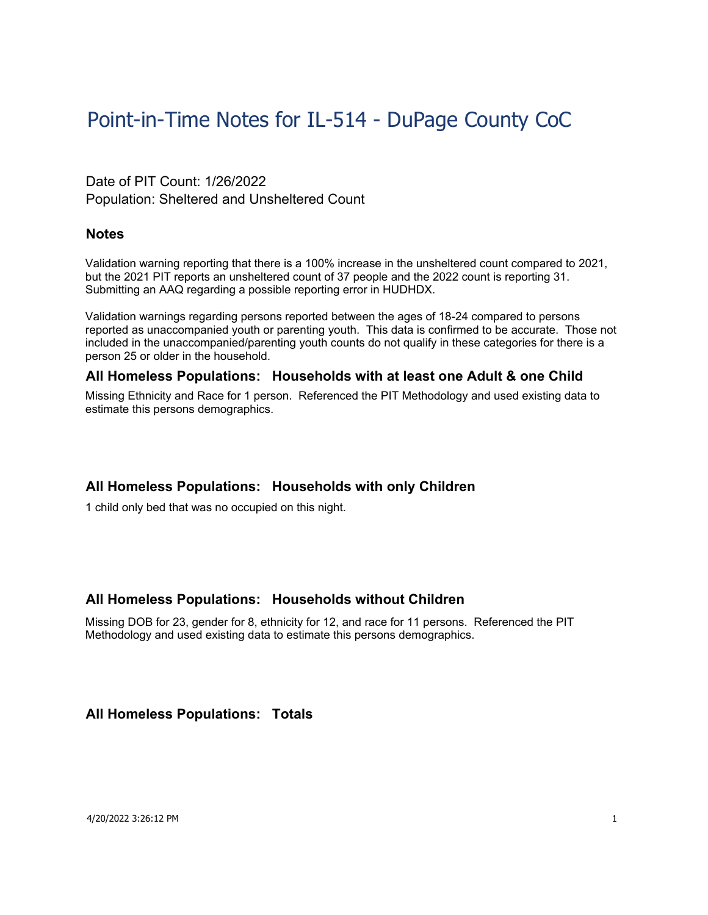# Point-in-Time Notes for IL-514 - DuPage County CoC

## Date of PIT Count: 1/26/2022 Population: Sheltered and Unsheltered Count

#### **Notes**

Validation warning reporting that there is a 100% increase in the unsheltered count compared to 2021, but the 2021 PIT reports an unsheltered count of 37 people and the 2022 count is reporting 31. Submitting an AAQ regarding a possible reporting error in HUDHDX.

Validation warnings regarding persons reported between the ages of 18-24 compared to persons reported as unaccompanied youth or parenting youth. This data is confirmed to be accurate. Those not included in the unaccompanied/parenting youth counts do not qualify in these categories for there is a person 25 or older in the household.

## **All Homeless Populations: Households with at least one Adult & one Child**

Missing Ethnicity and Race for 1 person. Referenced the PIT Methodology and used existing data to estimate this persons demographics.

#### **All Homeless Populations: Households with only Children**

1 child only bed that was no occupied on this night.

#### **All Homeless Populations: Households without Children**

Missing DOB for 23, gender for 8, ethnicity for 12, and race for 11 persons. Referenced the PIT Methodology and used existing data to estimate this persons demographics.

#### **All Homeless Populations: Totals**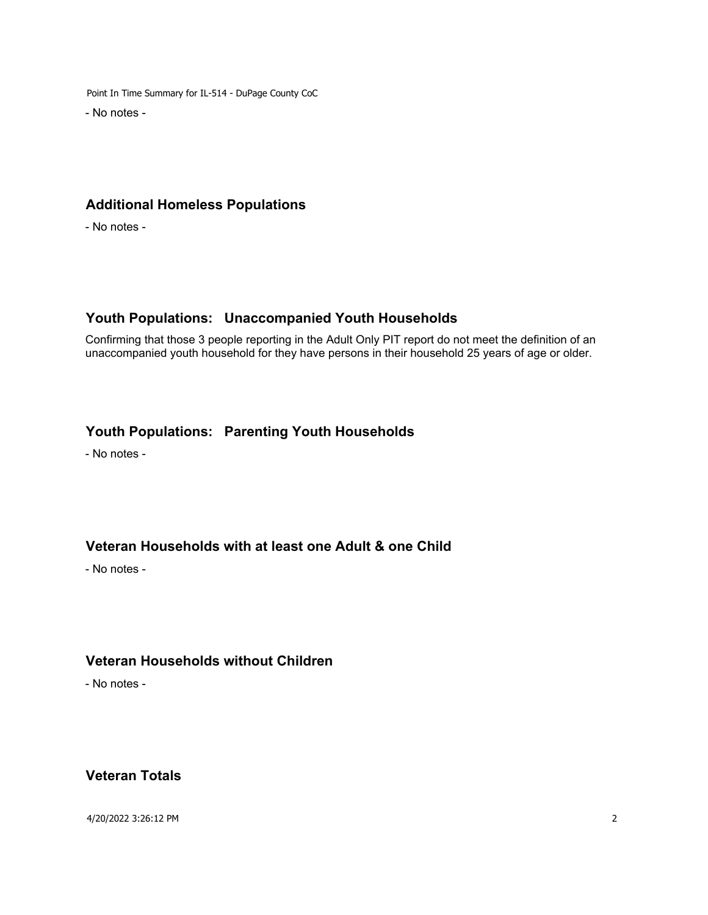Point In Time Summary for IL-514 - DuPage County CoC

- No notes -

# **Additional Homeless Populations**

- No notes -

# **Youth Populations: Unaccompanied Youth Households**

Confirming that those 3 people reporting in the Adult Only PIT report do not meet the definition of an unaccompanied youth household for they have persons in their household 25 years of age or older.

## **Youth Populations: Parenting Youth Households**

- No notes -

## **Veteran Households with at least one Adult & one Child**

- No notes -

## **Veteran Households without Children**

- No notes -

#### **Veteran Totals**